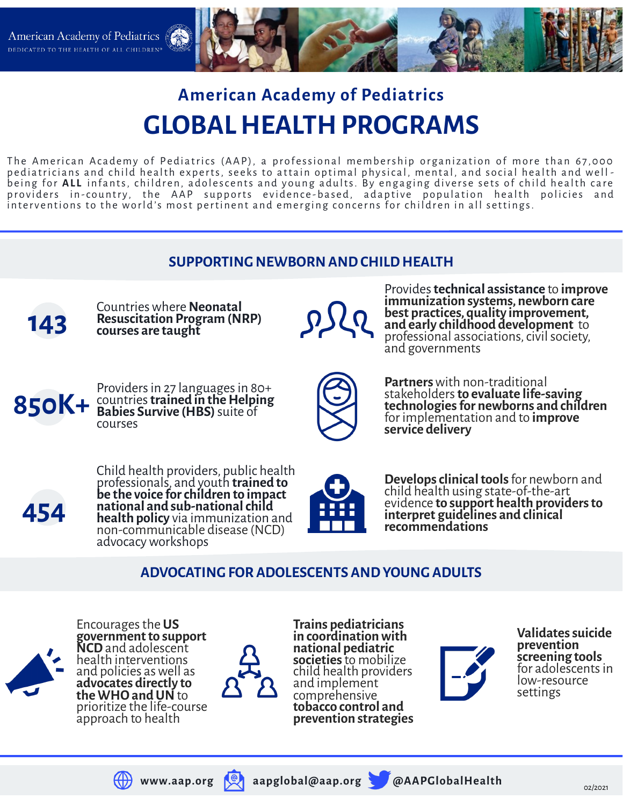

# **American Academy of Pediatrics GLOBAL HEALTH PROGRAMS**

The American Academy of Pediatrics (AAP), a professional membership organization of more than 67,000 pediatricians and child health experts, seeks to attain optimal physical, mental, and social health and wellbeing for ALL infants, children, adolescents and young adults. By engaging diverse sets of child health care providers in-country, the AAP supports evidence-based, adaptive population health policies and interventions to the world's most pertinent and emerging concerns for children in all settings.





Encourages the **US government to support NCD** and adolescent health interventions and policies as well as **advocates directly to the WHO and UN** to prioritize the life-course approach to health



**Trains pediatricians in coordination with national pediatric societies** to mobilize child health providers and implement comprehensive **tobacco control and prevention strategies**



**Validates suicide prevention screening tools** for adolescents in low-resource settings